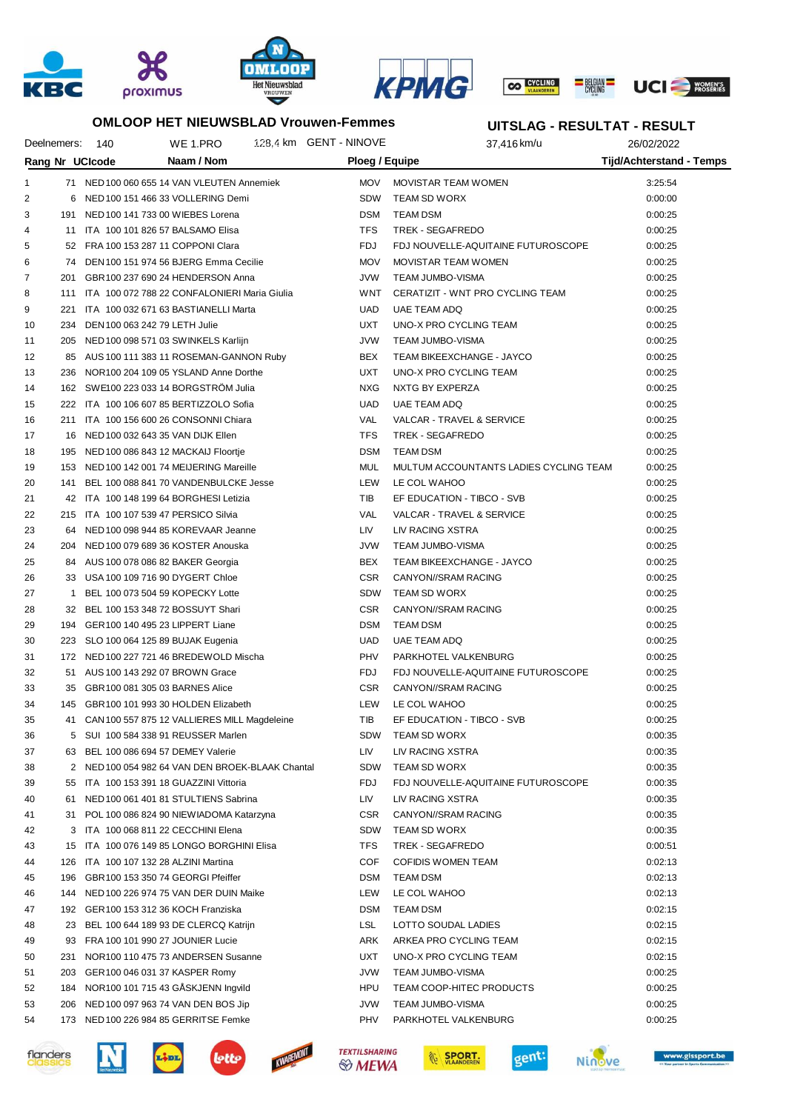





#### **OMLOOP HET NIEUWSBLAD Vrouwen-Femmes**

### **UITSLAG - RESULTAT - RESULT**

|    | Deelnemers: | 140                            | WE 1.PRO                                                                                | 128.4 km GENT - NINOVE |                | 37,416 km/u                            | 26/02/2022                      |  |
|----|-------------|--------------------------------|-----------------------------------------------------------------------------------------|------------------------|----------------|----------------------------------------|---------------------------------|--|
|    |             | Rang Nr UCIcode                | Naam / Nom                                                                              |                        | Ploeg / Equipe |                                        | <b>Tijd/Achterstand - Temps</b> |  |
| 1  |             |                                | 71 NED 100 060 655 14 VAN VLEUTEN Annemiek                                              |                        | <b>MOV</b>     | MOVISTAR TEAM WOMEN                    | 3:25:54                         |  |
| 2  | 6           |                                | NED 100 151 466 33 VOLLERING Demi                                                       |                        | <b>SDW</b>     | TEAM SD WORX                           | 0:00:00                         |  |
| 3  |             |                                | 191 NED 100 141 733 00 WIEBES Lorena                                                    |                        | <b>DSM</b>     | <b>TEAM DSM</b>                        | 0:00:25                         |  |
| 4  | 11          |                                | ITA 100 101 826 57 BALSAMO Elisa                                                        |                        | <b>TFS</b>     | TREK - SEGAFREDO                       | 0:00:25                         |  |
| 5  |             |                                | 52 FRA 100 153 287 11 COPPONI Clara                                                     |                        | <b>FDJ</b>     | FDJ NOUVELLE-AQUITAINE FUTUROSCOPE     | 0:00:25                         |  |
| 6  |             |                                | 74 DEN 100 151 974 56 BJERG Emma Cecilie                                                |                        | <b>MOV</b>     | MOVISTAR TEAM WOMEN                    | 0:00:25                         |  |
| 7  | 201         |                                | GBR100 237 690 24 HENDERSON Anna                                                        |                        | <b>JVW</b>     | <b>TEAM JUMBO-VISMA</b>                | 0:00:25                         |  |
| 8  | 111         |                                | ITA 100 072 788 22 CONFALONIERI Maria Giulia                                            |                        | WNT            | CERATIZIT - WNT PRO CYCLING TEAM       | 0:00:25                         |  |
| 9  | 221         |                                | ITA 100 032 671 63 BASTIANELLI Marta                                                    |                        | <b>UAD</b>     | <b>UAE TEAM ADQ</b>                    | 0:00:25                         |  |
| 10 | 234         | DEN 100 063 242 79 LETH Julie  |                                                                                         |                        | <b>UXT</b>     | UNO-X PRO CYCLING TEAM                 | 0:00:25                         |  |
| 11 | 205         |                                | NED 100 098 571 03 SWINKELS Karlijn                                                     |                        | <b>JVW</b>     | <b>TEAM JUMBO-VISMA</b>                | 0:00:25                         |  |
| 12 |             |                                | 85 AUS 100 111 383 11 ROSEMAN-GANNON Ruby                                               |                        | BEX            | TEAM BIKEEXCHANGE - JAYCO              | 0:00:25                         |  |
| 13 | 236         |                                | NOR100 204 109 05 YSLAND Anne Dorthe                                                    |                        | <b>UXT</b>     | UNO-X PRO CYCLING TEAM                 | 0:00:25                         |  |
| 14 |             |                                | 162 SWE100 223 033 14 BORGSTROM Julia                                                   |                        | <b>NXG</b>     | NXTG BY EXPERZA                        | 0:00:25                         |  |
| 15 |             |                                | 222 ITA 100 106 607 85 BERTIZZOLO Sofia                                                 |                        | <b>UAD</b>     | <b>UAE TEAM ADQ</b>                    | 0:00:25                         |  |
| 16 |             |                                | 211 ITA 100 156 600 26 CONSONNI Chiara                                                  |                        | VAL            | VALCAR - TRAVEL & SERVICE              | 0:00:25                         |  |
| 17 |             |                                | 16 NED 100 032 643 35 VAN DIJK Ellen                                                    |                        | <b>TFS</b>     | <b>TREK - SEGAFREDO</b>                | 0:00:25                         |  |
| 18 |             |                                | 195 NED 100 086 843 12 MACKAIJ Floortje                                                 |                        | <b>DSM</b>     | <b>TEAM DSM</b>                        | 0:00:25                         |  |
| 19 |             |                                | 153 NED 100 142 001 74 MEIJERING Mareille                                               |                        | MUL            | MULTUM ACCOUNTANTS LADIES CYCLING TEAM | 0:00:25                         |  |
| 20 | 141         |                                | BEL 100 088 841 70 VANDENBULCKE Jesse                                                   |                        | LEW            | LE COL WAHOO                           | 0:00:25                         |  |
| 21 | 42          |                                | ITA 100 148 199 64 BORGHESI Letizia                                                     |                        | TIB            | EF EDUCATION - TIBCO - SVB             | 0:00:25                         |  |
| 22 |             |                                | 215 ITA 100 107 539 47 PERSICO Silvia                                                   |                        | <b>VAL</b>     | VALCAR - TRAVEL & SERVICE              | 0:00:25                         |  |
| 23 |             |                                | 64 NED 100 098 944 85 KOREVAAR Jeanne                                                   |                        | LIV            | LIV RACING XSTRA                       | 0:00:25                         |  |
| 24 | 204         |                                | NED 100 079 689 36 KOSTER Anouska                                                       |                        | <b>JVW</b>     | <b>TEAM JUMBO-VISMA</b>                | 0:00:25                         |  |
| 25 |             |                                | 84 AUS 100 078 086 82 BAKER Georgia                                                     |                        | BEX            | TEAM BIKEEXCHANGE - JAYCO              | 0:00:25                         |  |
| 26 |             |                                | 33 USA 100 109 716 90 DYGERT Chloe                                                      |                        | <b>CSR</b>     | CANYON//SRAM RACING                    | 0:00:25                         |  |
| 27 | 1           |                                | BEL 100 073 504 59 KOPECKY Lotte                                                        |                        | <b>SDW</b>     | TEAM SD WORX                           | 0:00:25                         |  |
| 28 |             |                                | 32 BEL 100 153 348 72 BOSSUYT Shari                                                     |                        | <b>CSR</b>     | CANYON//SRAM RACING                    | 0:00:25                         |  |
| 29 | 194         |                                | GER100 140 495 23 LIPPERT Liane                                                         |                        | <b>DSM</b>     | <b>TEAM DSM</b>                        | 0:00:25                         |  |
| 30 | 223         |                                | SLO 100 064 125 89 BUJAK Eugenia                                                        |                        | <b>UAD</b>     | UAE TEAM ADQ                           | 0:00:25                         |  |
| 31 |             |                                | 172 NED 100 227 721 46 BREDEWOLD Mischa                                                 |                        | <b>PHV</b>     | PARKHOTEL VALKENBURG                   | 0:00:25                         |  |
| 32 |             |                                | 51 AUS 100 143 292 07 BROWN Grace                                                       |                        | <b>FDJ</b>     | FDJ NOUVELLE-AQUITAINE FUTUROSCOPE     | 0:00:25                         |  |
| 33 | 35          | GBR100 081 305 03 BARNES Alice |                                                                                         |                        | <b>CSR</b>     | CANYON//SRAM RACING                    | 0:00:25                         |  |
| 34 | 145         |                                | GBR100 101 993 30 HOLDEN Elizabeth                                                      |                        | LEW            | LE COL WAHOO                           |                                 |  |
| 35 |             |                                |                                                                                         |                        | <b>TIB</b>     | EF EDUCATION - TIBCO - SVB             | 0:00:25<br>0:00:25              |  |
|    |             |                                | 41 CAN 100 557 875 12 VALLIERES MILL Magdeleine<br>5 SUI 100 584 338 91 REUSSER Marlen  |                        |                |                                        | 0:00:35                         |  |
| 36 |             |                                |                                                                                         |                        | SDW            | TEAM SD WORX                           |                                 |  |
| 37 |             |                                | 63 BEL 100 086 694 57 DEMEY Valerie<br>2 NED 100 054 982 64 VAN DEN BROEK-BLAAK Chantal |                        | LIV            | LIV RACING XSTRA                       | 0:00:35                         |  |
| 38 |             |                                |                                                                                         |                        | <b>SDW</b>     | TEAM SD WORX                           | 0:00:35                         |  |
| 39 |             |                                | 55 ITA 100 153 391 18 GUAZZINI Vittoria                                                 |                        | <b>FDJ</b>     | FDJ NOUVELLE-AQUITAINE FUTUROSCOPE     | 0:00:35                         |  |
| 40 |             |                                | 61 NED 100 061 401 81 STULTIENS Sabrina                                                 |                        | LIV            | LIV RACING XSTRA                       | 0:00:35                         |  |
| 41 |             |                                | 31 POL 100 086 824 90 NIEWIADOMA Katarzyna                                              |                        | <b>CSR</b>     | CANYON//SRAM RACING                    | 0:00:35                         |  |
| 42 |             |                                | 3 ITA 100 068 811 22 CECCHINI Elena                                                     |                        | <b>SDW</b>     | TEAM SD WORX                           | 0:00:35                         |  |
| 43 |             |                                | 15 ITA 100 076 149 85 LONGO BORGHINI Elisa                                              |                        | <b>TFS</b>     | TREK - SEGAFREDO                       | 0:00:51                         |  |
| 44 | 126         |                                | ITA 100 107 132 28 ALZINI Martina                                                       |                        | COF            | <b>COFIDIS WOMEN TEAM</b>              | 0:02:13                         |  |
| 45 | 196         |                                | GBR100 153 350 74 GEORGI Pfeiffer                                                       |                        | <b>DSM</b>     | <b>TEAM DSM</b>                        | 0:02:13                         |  |
| 46 | 144         |                                | NED 100 226 974 75 VAN DER DUIN Maike                                                   |                        | LEW            | LE COL WAHOO                           | 0:02:13                         |  |
| 47 |             |                                | 192 GER 100 153 312 36 KOCH Franziska                                                   |                        | <b>DSM</b>     | <b>TEAM DSM</b>                        | 0:02:15                         |  |
| 48 | 23          |                                | BEL 100 644 189 93 DE CLERCQ Katrijn                                                    |                        | <b>LSL</b>     | LOTTO SOUDAL LADIES                    | 0:02:15                         |  |
| 49 |             |                                | 93 FRA 100 101 990 27 JOUNIER Lucie                                                     |                        | ARK            | ARKEA PRO CYCLING TEAM                 | 0:02:15                         |  |
| 50 | 231         |                                | NOR100 110 475 73 ANDERSEN Susanne                                                      |                        | UXT            | UNO-X PRO CYCLING TEAM                 | 0:02:15                         |  |
| 51 | 203         |                                | GER100 046 031 37 KASPER Romy                                                           |                        | <b>JVW</b>     | <b>TEAM JUMBO-VISMA</b>                | 0:00:25                         |  |
| 52 | 184         |                                | NOR100 101 715 43 GÄSKJENN Ingvild                                                      |                        | HPU            | TEAM COOP-HITEC PRODUCTS               | 0:00:25                         |  |
| 53 | 206         |                                | NED 100 097 963 74 VAN DEN BOS Jip                                                      |                        | <b>JVW</b>     | <b>TEAM JUMBO-VISMA</b>                | 0:00:25                         |  |
| 54 | 173         |                                | NED 100 226 984 85 GERRITSE Femke                                                       |                        | PHV            | PARKHOTEL VALKENBURG                   | 0:00:25                         |  |







E





KWAREMON





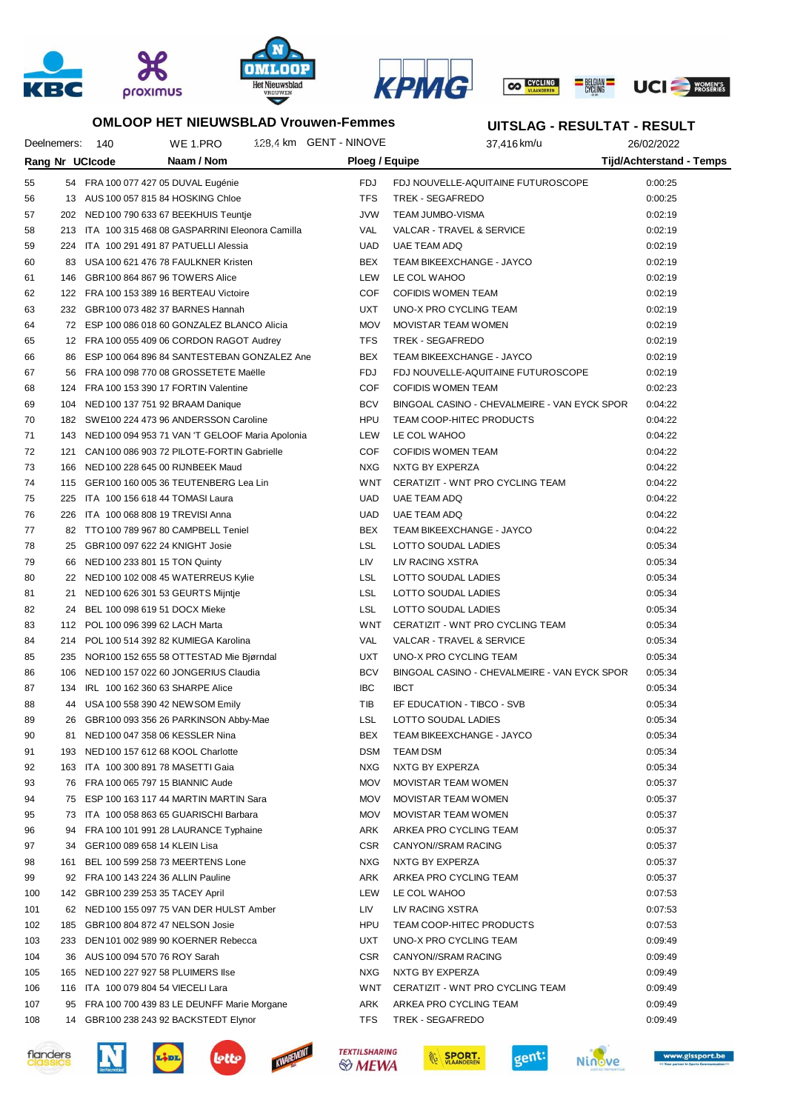





## **OMLOOP HET NIEUWSBLAD Vrouwen-Femmes**

## **UITSLAG - RESULTAT - RESULT**

|     | Deelnemers: | 140                               | WE 1.PRO                                                                    | 128.4 km GENT - NINOVE | 37,416 km/u                                  | 26/02/2022                      |
|-----|-------------|-----------------------------------|-----------------------------------------------------------------------------|------------------------|----------------------------------------------|---------------------------------|
|     |             | Rang Nr UCIcode                   | Naam / Nom                                                                  |                        | Ploeg / Equipe                               | <b>Tijd/Achterstand - Temps</b> |
| 55  |             |                                   | 54 FRA 100 077 427 05 DUVAL Eugénie                                         | FDJ                    | FDJ NOUVELLE-AQUITAINE FUTUROSCOPE           | 0:00:25                         |
| 56  |             |                                   | 13 AUS 100 057 815 84 HOSKING Chloe                                         | <b>TFS</b>             | TREK - SEGAFREDO                             | 0:00:25                         |
| 57  |             |                                   | 202 NED 100 790 633 67 BEEKHUIS Teuntje                                     | <b>JVW</b>             | TEAM JUMBO-VISMA                             | 0:02:19                         |
| 58  |             |                                   | 213 ITA 100 315 468 08 GASPARRINI Eleonora Camilla                          | VAL                    | VALCAR - TRAVEL & SERVICE                    | 0:02:19                         |
| 59  |             |                                   | 224 ITA 100 291 491 87 PATUELLI Alessia                                     | <b>UAD</b>             | UAE TEAM ADQ                                 | 0:02:19                         |
| 60  |             |                                   | 83 USA 100 621 476 78 FAULKNER Kristen                                      | BEX                    | TEAM BIKEEXCHANGE - JAYCO                    | 0:02:19                         |
| 61  |             |                                   | 146 GBR100 864 867 96 TOWERS Alice                                          | LEW                    | LE COL WAHOO                                 | 0:02:19                         |
| 62  |             |                                   | 122 FRA 100 153 389 16 BERTEAU Victoire                                     | COF                    | <b>COFIDIS WOMEN TEAM</b>                    | 0:02:19                         |
| 63  |             |                                   | 232 GBR100 073 482 37 BARNES Hannah                                         | <b>UXT</b>             | UNO-X PRO CYCLING TEAM                       | 0:02:19                         |
| 64  |             |                                   | 72 ESP 100 086 018 60 GONZALEZ BLANCO Alicia                                | <b>MOV</b>             | MOVISTAR TEAM WOMEN                          | 0:02:19                         |
| 65  |             |                                   | 12 FRA 100 055 409 06 CORDON RAGOT Audrey                                   | <b>TFS</b>             | TREK - SEGAFREDO                             | 0:02:19                         |
| 66  |             |                                   | 86 ESP 100 064 896 84 SANTESTEBAN GONZALEZ Ane                              | BEX                    | TEAM BIKEEXCHANGE - JAYCO                    | 0:02:19                         |
| 67  |             |                                   | 56 FRA 100 098 770 08 GROSSETETE Maëlle                                     | <b>FDJ</b>             | FDJ NOUVELLE-AQUITAINE FUTUROSCOPE           | 0:02:19                         |
| 68  |             |                                   | 124 FRA 100 153 390 17 FORTIN Valentine                                     | COF                    | <b>COFIDIS WOMEN TEAM</b>                    | 0:02:23                         |
| 69  |             |                                   | 104 NED 100 137 751 92 BRAAM Danique                                        | <b>BCV</b>             | BINGOAL CASINO - CHEVALMEIRE - VAN EYCK SPOR | 0:04:22                         |
| 70  |             |                                   | 182 SWE100 224 473 96 ANDERSSON Caroline                                    | <b>HPU</b>             | TEAM COOP-HITEC PRODUCTS                     | 0:04:22                         |
| 71  |             |                                   | 143 NED 100 094 953 71 VAN 'T GELOOF Maria Apolonia                         | LEW                    | LE COL WAHOO                                 | 0:04:22                         |
| 72  |             |                                   | 121 CAN 100 086 903 72 PILOTE-FORTIN Gabrielle                              | COF                    | <b>COFIDIS WOMEN TEAM</b>                    | 0:04:22                         |
| 73  |             |                                   | 166 NED 100 228 645 00 RIJNBEEK Maud                                        | <b>NXG</b>             | NXTG BY EXPERZA                              | 0:04:22                         |
| 74  |             |                                   | 115 GER100 160 005 36 TEUTENBERG Lea Lin                                    | WNT                    | CERATIZIT - WNT PRO CYCLING TEAM             | 0:04:22                         |
| 75  |             |                                   | 225 ITA 100 156 618 44 TOMASI Laura                                         | <b>UAD</b>             | UAE TEAM ADQ                                 | 0:04:22                         |
| 76  |             |                                   | 226 ITA 100 068 808 19 TREVISI Anna                                         | <b>UAD</b>             | <b>UAE TEAM ADQ</b>                          | 0:04:22                         |
| 77  |             |                                   | 82 TTO 100 789 967 80 CAMPBELL Teniel                                       | BEX                    | TEAM BIKEEXCHANGE - JAYCO                    | 0:04:22                         |
| 78  |             |                                   | 25 GBR100 097 622 24 KNIGHT Josie                                           | LSL                    | LOTTO SOUDAL LADIES                          | 0:05:34                         |
| 79  |             | 66 NED 100 233 801 15 TON Quinty  |                                                                             | LIV                    | LIV RACING XSTRA                             | 0:05:34                         |
| 80  |             |                                   | 22 NED 100 102 008 45 WATERREUS Kylie                                       | LSL                    | LOTTO SOUDAL LADIES                          | 0:05:34                         |
| 81  |             |                                   | 21 NED 100 626 301 53 GEURTS Mijntje                                        | LSL                    | LOTTO SOUDAL LADIES                          | 0:05:34                         |
| 82  | 24          | BEL 100 098 619 51 DOCX Mieke     |                                                                             | LSL                    | LOTTO SOUDAL LADIES                          | 0:05:34                         |
| 83  |             | 112 POL 100 096 399 62 LACH Marta |                                                                             | WNT                    | CERATIZIT - WNT PRO CYCLING TEAM             | 0:05:34                         |
| 84  |             |                                   | 214 POL 100 514 392 82 KUMIEGA Karolina                                     | VAL                    | VALCAR - TRAVEL & SERVICE                    | 0:05:34                         |
| 85  |             |                                   | 235 NOR100 152 655 58 OTTESTAD Mie Bjørndal                                 | <b>UXT</b>             | UNO-X PRO CYCLING TEAM                       | 0:05:34                         |
| 86  |             |                                   | 106 NED 100 157 022 60 JONGERIUS Claudia                                    | <b>BCV</b>             | BINGOAL CASINO - CHEVALMEIRE - VAN EYCK SPOR | 0:05:34                         |
| 87  | 134         |                                   | IRL 100 162 360 63 SHARPE Alice                                             | <b>IBC</b>             | <b>IBCT</b>                                  | 0:05:34                         |
| 88  |             |                                   |                                                                             | TIB                    | EF EDUCATION - TIBCO - SVB                   | 0:05:34                         |
| 89  | 44          |                                   | USA 100 558 390 42 NEW SOM Emily<br>26 GBR100 093 356 26 PARKINSON Abby-Mae | <b>LSL</b>             | LOTTO SOUDAL LADIES                          | 0:05:34                         |
|     |             |                                   |                                                                             |                        |                                              |                                 |
| 90  |             |                                   | 81 NED 100 047 358 06 KESSLER Nina                                          | BEX                    | TEAM BIKEEXCHANGE - JAYCO                    | 0:05:34                         |
| 91  | 193         |                                   | NED 100 157 612 68 KOOL Charlotte                                           | <b>DSM</b>             | <b>TEAM DSM</b>                              | 0:05:34                         |
| 92  | 163         |                                   | ITA 100 300 891 78 MASETTI Gaia                                             | <b>NXG</b>             | NXTG BY EXPERZA                              | 0:05:34                         |
| 93  |             |                                   | 76 FRA 100 065 797 15 BIANNIC Aude                                          | <b>MOV</b>             | MOVISTAR TEAM WOMEN                          | 0:05:37                         |
| 94  |             |                                   | 75 ESP 100 163 117 44 MARTIN MARTIN Sara                                    | <b>MOV</b>             | MOVISTAR TEAM WOMEN                          | 0:05:37                         |
| 95  | 73          |                                   | ITA 100 058 863 65 GUARISCHI Barbara                                        | <b>MOV</b>             | MOVISTAR TEAM WOMEN                          | 0:05:37                         |
| 96  | 94          |                                   | FRA 100 101 991 28 LAURANCE Typhaine                                        | ARK                    | ARKEA PRO CYCLING TEAM                       | 0:05:37                         |
| 97  | 34          | GER100 089 658 14 KLEIN Lisa      |                                                                             | <b>CSR</b>             | CANYON//SRAM RACING                          | 0:05:37                         |
| 98  | 161         |                                   | BEL 100 599 258 73 MEERTENS Lone                                            | <b>NXG</b>             | NXTG BY EXPERZA                              | 0:05:37                         |
| 99  |             |                                   | 92 FRA 100 143 224 36 ALLIN Pauline                                         | ARK                    | ARKEA PRO CYCLING TEAM                       | 0:05:37                         |
| 100 |             | 142 GBR100 239 253 35 TACEY April |                                                                             | LEW                    | LE COL WAHOO                                 | 0:07:53                         |
| 101 |             |                                   | 62 NED 100 155 097 75 VAN DER HULST Amber                                   | LIV                    | LIV RACING XSTRA                             | 0:07:53                         |
| 102 | 185         |                                   | GBR100 804 872 47 NELSON Josie                                              | <b>HPU</b>             | TEAM COOP-HITEC PRODUCTS                     | 0:07:53                         |
| 103 | 233         |                                   | DEN 101 002 989 90 KOERNER Rebecca                                          | <b>UXT</b>             | UNO-X PRO CYCLING TEAM                       | 0:09:49                         |
| 104 | 36          | AUS 100 094 570 76 ROY Sarah      |                                                                             | <b>CSR</b>             | CANYON//SRAM RACING                          | 0:09:49                         |
| 105 | 165         |                                   | NED 100 227 927 58 PLUIMERS Ilse                                            | <b>NXG</b>             | NXTG BY EXPERZA                              | 0:09:49                         |
| 106 |             |                                   | 116 ITA 100 079 804 54 VIECELI Lara                                         | WNT                    | CERATIZIT - WNT PRO CYCLING TEAM             | 0:09:49                         |
| 107 |             |                                   | 95 FRA 100 700 439 83 LE DEUNFF Marie Morgane                               | ARK                    | ARKEA PRO CYCLING TEAM                       | 0:09:49                         |
| 108 |             |                                   | 14 GBR100 238 243 92 BACKSTEDT Elynor                                       | TFS                    | TREK - SEGAFREDO                             | 0:09:49                         |